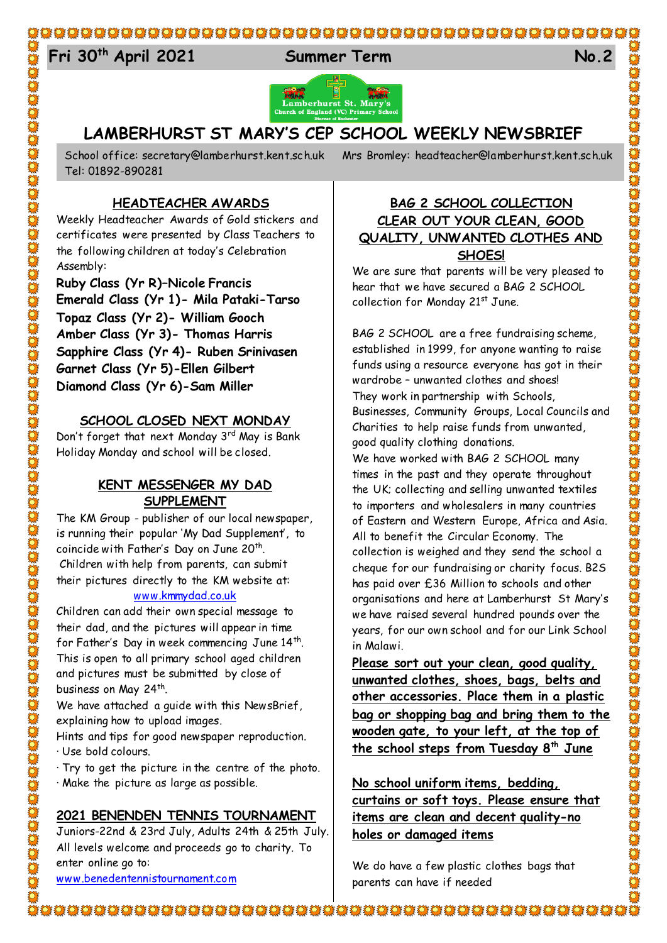# 

# 24 **Fri 30th April 2021 Summer Term No.2**



# **LAMBERHURST ST MARY'S CEP SCHOOL WEEKLY NEWSBRIEF**

Tel: 01892-890281

School office: [secretary@lamberhurst.kent.sch.uk](mailto:secretary@lamberhurst.kent.sch.uk) Mrs Bromley: headteacher@lamberhurst.kent.sch.uk

**HEADTEACHER AWARDS**

Weekly Headteacher Awards of Gold stickers and certificates were presented by Class Teachers to the following children at today's Celebration Assembly:

**Ruby Class (Yr R)–Nicole Francis Emerald Class (Yr 1)- Mila Pataki-Tarso Topaz Class (Yr 2)- William Gooch Amber Class (Yr 3)- Thomas Harris Sapphire Class (Yr 4)- Ruben Srinivasen Garnet Class (Yr 5)-Ellen Gilbert Diamond Class (Yr 6)-Sam Miller**

#### **SCHOOL CLOSED NEXT MONDAY**

Don't forget that next Monday 3<sup>rd</sup> May is Bank Holiday Monday and school will be closed.

#### **KENT MESSENGER MY DAD SUPPLEMENT**

The KM Group - publisher of our local newspaper, is running their popular 'My Dad Supplement', to coincide with Father's Day on June 20<sup>th</sup>. Children with help from parents, can submit their pictures directly to the KM website at:

#### [www.kmmydad.co.uk](http://www.kmmydad.co.uk/)

Children can add their own special message to their dad, and the pictures will appear in time for Father's Day in week commencing June  $14^{\text{th}}$ . This is open to all primary school aged children and pictures must be submitted by close of business on May 24<sup>th</sup>.

We have attached a guide with this NewsBrief, explaining how to upload images.

Hints and tips for good newspaper reproduction.

· Use bold colours.

· Try to get the picture in the centre of the photo. · Make the picture as large as possible.

#### **2021 BENENDEN TENNIS TOURNAMENT**

Juniors-22nd & 23rd July, Adults 24th & 25th July. All levels welcome and proceeds go to charity. To enter online go to: [www.benedentennistournament.com](http://www.benedentennistournament.com/)

## **BAG 2 SCHOOL COLLECTION CLEAR OUT YOUR CLEAN, GOOD QUALITY, UNWANTED CLOTHES AND SHOES!**

We are sure that parents will be very pleased to hear that we have secured a BAG 2 SCHOOL collection for Monday 21st June.

BAG 2 SCHOOL are a free fundraising scheme, established in 1999, for anyone wanting to raise funds using a resource everyone has got in their wardrobe – unwanted clothes and shoes! They work in partnership with Schools, Businesses, Community Groups, Local Councils and Charities to help raise funds from unwanted, good quality clothing donations.

We have worked with BAG 2 SCHOOL many times in the past and they operate throughout the UK; collecting and selling unwanted textiles to importers and wholesalers in many countries of Eastern and Western Europe, Africa and Asia. All to benefit the Circular Economy. The collection is weighed and they send the school a cheque for our fundraising or charity focus. B2S has paid over £36 Million to schools and other organisations and here at Lamberhurst St Mary's we have raised several hundred pounds over the years, for our own school and for our Link School in Malawi.

**Please sort out your clean, good quality, unwanted clothes, shoes, bags, belts and other accessories. Place them in a plastic bag or shopping bag and bring them to the wooden gate, to your left, at the top of the school steps from Tuesday 8th June**

**No school uniform items, bedding, curtains or soft toys. Please ensure that items are clean and decent quality-no holes or damaged items**

We do have a few plastic clothes bags that parents can have if needed

ower and the thing the thing the thing the thing the thing the thing the thing the thing the thing the thing t